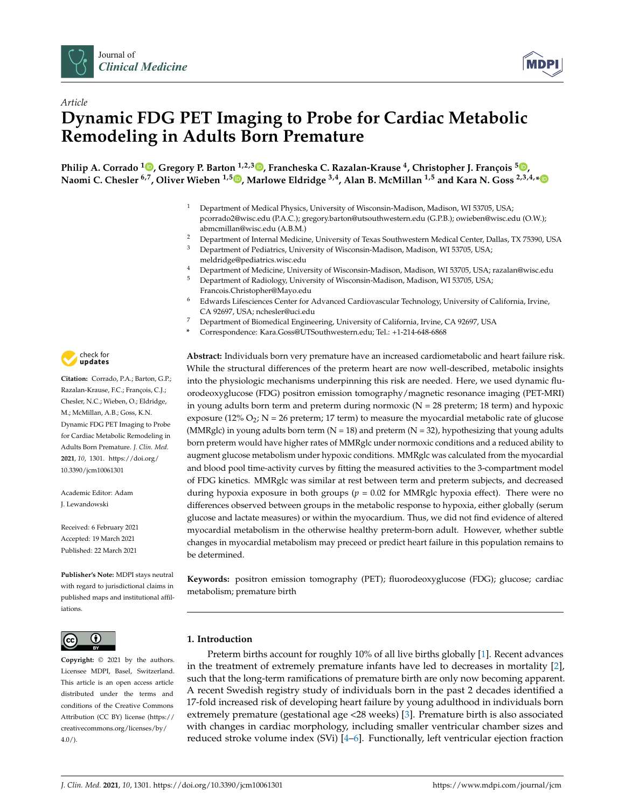

*Article*



# **Dynamic FDG PET Imaging to Probe for Cardiac Metabolic Remodeling in Adults Born Premature**

**Philip A. Corrado <sup>1</sup> , Gregory P. Barton 1,2,3 , Francheska C. Razalan-Krause 4, Christopher J. François <sup>5</sup> , Naomi C. Chesler 6,7, Oliver Wieben 1,5 , Marlowe Eldridge 3,4, Alan B. McMillan 1,5 and Kara N. Goss 2,3,4,\***

- <sup>1</sup> Department of Medical Physics, University of Wisconsin-Madison, Madison, WI 53705, USA; pcorrado2@wisc.edu (P.A.C.); gregory.barton@utsouthwestern.edu (G.P.B.); owieben@wisc.edu (O.W.); abmcmillan@wisc.edu (A.B.M.)
- <sup>2</sup> Department of Internal Medicine, University of Texas Southwestern Medical Center, Dallas, TX 75390, USA
- <sup>3</sup> Department of Pediatrics, University of Wisconsin-Madison, Madison, WI 53705, USA; meldridge@pediatrics.wisc.edu
- <sup>4</sup> Department of Medicine, University of Wisconsin-Madison, Madison, WI 53705, USA; razalan@wisc.edu
- <sup>5</sup> Department of Radiology, University of Wisconsin-Madison, Madison, WI 53705, USA; Francois.Christopher@Mayo.edu
- <sup>6</sup> Edwards Lifesciences Center for Advanced Cardiovascular Technology, University of California, Irvine, CA 92697, USA; nchesler@uci.edu
- <sup>7</sup> Department of Biomedical Engineering, University of California, Irvine, CA 92697, USA
- **\*** Correspondence: Kara.Goss@UTSouthwestern.edu; Tel.: +1-214-648-6868

**Abstract:** Individuals born very premature have an increased cardiometabolic and heart failure risk. While the structural differences of the preterm heart are now well-described, metabolic insights into the physiologic mechanisms underpinning this risk are needed. Here, we used dynamic fluorodeoxyglucose (FDG) positron emission tomography/magnetic resonance imaging (PET-MRI) in young adults born term and preterm during normoxic ( $N = 28$  preterm; 18 term) and hypoxic exposure (12%  $O_2$ ; N = 26 preterm; 17 term) to measure the myocardial metabolic rate of glucose (MMRglc) in young adults born term  $(N = 18)$  and preterm  $(N = 32)$ , hypothesizing that young adults born preterm would have higher rates of MMRglc under normoxic conditions and a reduced ability to augment glucose metabolism under hypoxic conditions. MMRglc was calculated from the myocardial and blood pool time-activity curves by fitting the measured activities to the 3-compartment model of FDG kinetics. MMRglc was similar at rest between term and preterm subjects, and decreased during hypoxia exposure in both groups (*p* = 0.02 for MMRglc hypoxia effect). There were no differences observed between groups in the metabolic response to hypoxia, either globally (serum glucose and lactate measures) or within the myocardium. Thus, we did not find evidence of altered myocardial metabolism in the otherwise healthy preterm-born adult. However, whether subtle changes in myocardial metabolism may preceed or predict heart failure in this population remains to be determined.

**Keywords:** positron emission tomography (PET); fluorodeoxyglucose (FDG); glucose; cardiac metabolism; premature birth

# **1. Introduction**

Preterm births account for roughly 10% of all live births globally [1]. Recent advances in the treatment of extremely premature infants have led to decreases in mortality [2], such that the long-term ramifications of premature birth are only now becoming apparent. A recent Swedish registry study of individuals born in the past 2 decades identified a 17-fold increased risk of developing heart failure by young adulthood in individuals born extremely premature (gestational age <28 weeks) [3]. Premature birth is also associated with changes in cardiac morphology, including smaller ventricular chamber sizes and reduced stroke volume index (SVi) [4–6]. Functionally, left ventricular ejection fraction



**Citation:** Corrado, P.A.; Barton, G.P.; Razalan-Krause, F.C.; François, C.J.; Chesler, N.C.; Wieben, O.; Eldridge, M.; McMillan, A.B.; Goss, K.N. Dynamic FDG PET Imaging to Probe for Cardiac Metabolic Remodeling in Adults Born Premature. *J. Clin. Med.* **2021**, *10*, 1301. https://doi.org/ 10.3390/jcm10061301

Academic Editor: Adam J. Lewandowski

Received: 6 February 2021 Accepted: 19 March 2021 Published: 22 March 2021

**Publisher's Note:** MDPI stays neutral with regard to jurisdictional claims in published maps and institutional affiliations.



**Copyright:** © 2021 by the authors. Licensee MDPI, Basel, Switzerland. This article is an open access article distributed under the terms and conditions of the Creative Commons Attribution (CC BY) license (https:// creativecommons.org/licenses/by/ 4.0/).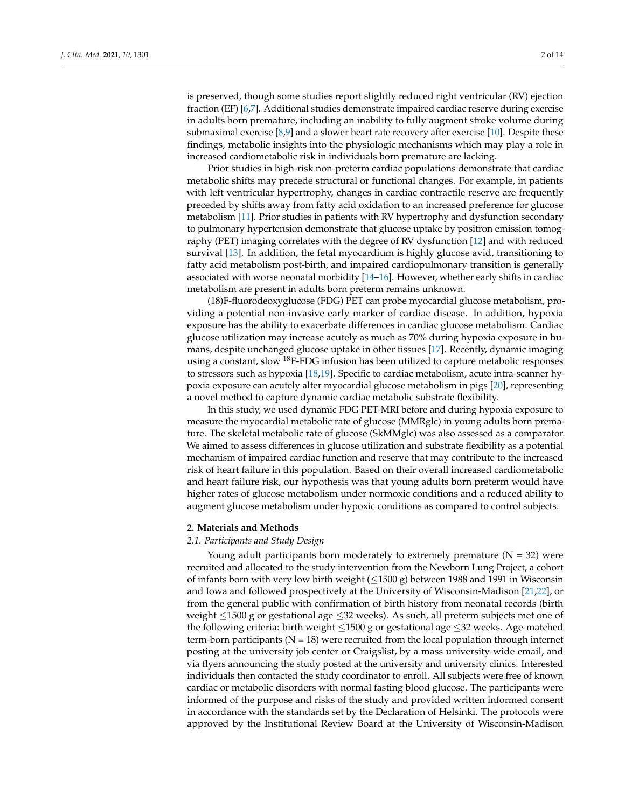is preserved, though some studies report slightly reduced right ventricular (RV) ejection fraction (EF) [6,7]. Additional studies demonstrate impaired cardiac reserve during exercise in adults born premature, including an inability to fully augment stroke volume during submaximal exercise  $[8,9]$  and a slower heart rate recovery after exercise  $[10]$ . Despite these findings, metabolic insights into the physiologic mechanisms which may play a role in increased cardiometabolic risk in individuals born premature are lacking.

Prior studies in high-risk non-preterm cardiac populations demonstrate that cardiac metabolic shifts may precede structural or functional changes. For example, in patients with left ventricular hypertrophy, changes in cardiac contractile reserve are frequently preceded by shifts away from fatty acid oxidation to an increased preference for glucose metabolism [11]. Prior studies in patients with RV hypertrophy and dysfunction secondary to pulmonary hypertension demonstrate that glucose uptake by positron emission tomography (PET) imaging correlates with the degree of RV dysfunction [12] and with reduced survival [13]. In addition, the fetal myocardium is highly glucose avid, transitioning to fatty acid metabolism post-birth, and impaired cardiopulmonary transition is generally associated with worse neonatal morbidity [14–16]. However, whether early shifts in cardiac metabolism are present in adults born preterm remains unknown.

(18)F-fluorodeoxyglucose (FDG) PET can probe myocardial glucose metabolism, providing a potential non-invasive early marker of cardiac disease. In addition, hypoxia exposure has the ability to exacerbate differences in cardiac glucose metabolism. Cardiac glucose utilization may increase acutely as much as 70% during hypoxia exposure in humans, despite unchanged glucose uptake in other tissues [17]. Recently, dynamic imaging using a constant, slow <sup>18</sup>F-FDG infusion has been utilized to capture metabolic responses to stressors such as hypoxia [18,19]. Specific to cardiac metabolism, acute intra-scanner hypoxia exposure can acutely alter myocardial glucose metabolism in pigs [20], representing a novel method to capture dynamic cardiac metabolic substrate flexibility.

In this study, we used dynamic FDG PET-MRI before and during hypoxia exposure to measure the myocardial metabolic rate of glucose (MMRglc) in young adults born premature. The skeletal metabolic rate of glucose (SkMMglc) was also assessed as a comparator. We aimed to assess differences in glucose utilization and substrate flexibility as a potential mechanism of impaired cardiac function and reserve that may contribute to the increased risk of heart failure in this population. Based on their overall increased cardiometabolic and heart failure risk, our hypothesis was that young adults born preterm would have higher rates of glucose metabolism under normoxic conditions and a reduced ability to augment glucose metabolism under hypoxic conditions as compared to control subjects.

#### **2. Materials and Methods**

#### *2.1. Participants and Study Design*

Young adult participants born moderately to extremely premature  $(N = 32)$  were recruited and allocated to the study intervention from the Newborn Lung Project, a cohort of infants born with very low birth weight  $(\leq 1500 \text{ g})$  between 1988 and 1991 in Wisconsin and Iowa and followed prospectively at the University of Wisconsin-Madison [21,22], or from the general public with confirmation of birth history from neonatal records (birth weight  $\leq$ 1500 g or gestational age  $\leq$ 32 weeks). As such, all preterm subjects met one of the following criteria: birth weight  $\leq$ 1500 g or gestational age  $\leq$ 32 weeks. Age-matched term-born participants ( $N = 18$ ) were recruited from the local population through internet posting at the university job center or Craigslist, by a mass university-wide email, and via flyers announcing the study posted at the university and university clinics. Interested individuals then contacted the study coordinator to enroll. All subjects were free of known cardiac or metabolic disorders with normal fasting blood glucose. The participants were informed of the purpose and risks of the study and provided written informed consent in accordance with the standards set by the Declaration of Helsinki. The protocols were approved by the Institutional Review Board at the University of Wisconsin-Madison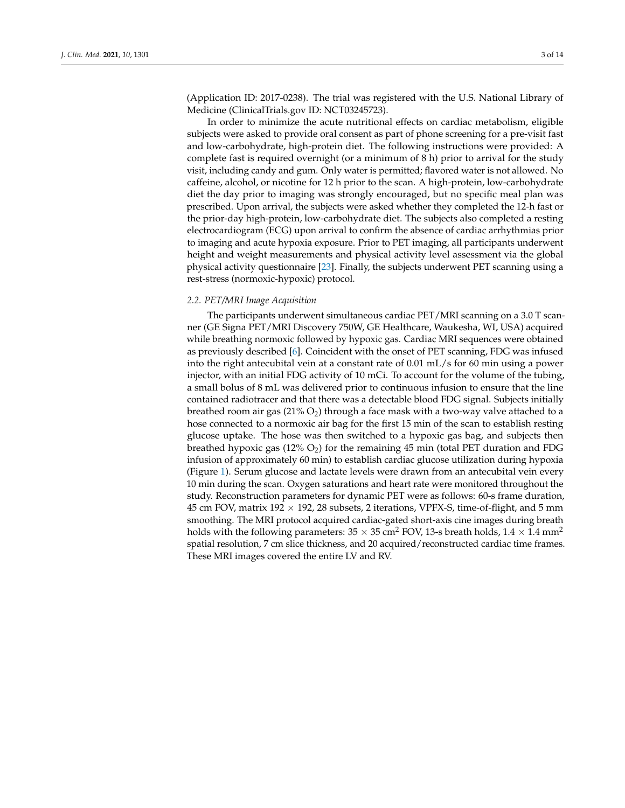(Application ID: 2017-0238). The trial was registered with the U.S. National Library of Medicine (ClinicalTrials.gov ID: NCT03245723).

In order to minimize the acute nutritional effects on cardiac metabolism, eligible subjects were asked to provide oral consent as part of phone screening for a pre-visit fast and low-carbohydrate, high-protein diet. The following instructions were provided: A complete fast is required overnight (or a minimum of 8 h) prior to arrival for the study visit, including candy and gum. Only water is permitted; flavored water is not allowed. No caffeine, alcohol, or nicotine for 12 h prior to the scan. A high-protein, low-carbohydrate diet the day prior to imaging was strongly encouraged, but no specific meal plan was prescribed. Upon arrival, the subjects were asked whether they completed the 12-h fast or the prior-day high-protein, low-carbohydrate diet. The subjects also completed a resting electrocardiogram (ECG) upon arrival to confirm the absence of cardiac arrhythmias prior to imaging and acute hypoxia exposure. Prior to PET imaging, all participants underwent height and weight measurements and physical activity level assessment via the global physical activity questionnaire [23]. Finally, the subjects underwent PET scanning using a rest-stress (normoxic-hypoxic) protocol.

#### *2.2. PET/MRI Image Acquisition*

The participants underwent simultaneous cardiac PET/MRI scanning on a 3.0 T scanner (GE Signa PET/MRI Discovery 750W, GE Healthcare, Waukesha, WI, USA) acquired while breathing normoxic followed by hypoxic gas. Cardiac MRI sequences were obtained as previously described [6]. Coincident with the onset of PET scanning, FDG was infused into the right antecubital vein at a constant rate of 0.01 mL/s for 60 min using a power injector, with an initial FDG activity of 10 mCi. To account for the volume of the tubing, a small bolus of 8 mL was delivered prior to continuous infusion to ensure that the line contained radiotracer and that there was a detectable blood FDG signal. Subjects initially breathed room air gas  $(21\% O_2)$  through a face mask with a two-way valve attached to a hose connected to a normoxic air bag for the first 15 min of the scan to establish resting glucose uptake. The hose was then switched to a hypoxic gas bag, and subjects then breathed hypoxic gas  $(12\% O_2)$  for the remaining 45 min (total PET duration and FDG infusion of approximately 60 min) to establish cardiac glucose utilization during hypoxia (Figure 1). Serum glucose and lactate levels were drawn from an antecubital vein every 10 min during the scan. Oxygen saturations and heart rate were monitored throughout the study. Reconstruction parameters for dynamic PET were as follows: 60-s frame duration, 45 cm FOV, matrix 192  $\times$  192, 28 subsets, 2 iterations, VPFX-S, time-of-flight, and 5 mm smoothing. The MRI protocol acquired cardiac-gated short-axis cine images during breath holds with the following parameters: 35  $\times$  35 cm<sup>2</sup> FOV, 13-s breath holds, 1.4  $\times$  1.4 mm<sup>2</sup> spatial resolution, 7 cm slice thickness, and 20 acquired/reconstructed cardiac time frames. These MRI images covered the entire LV and RV.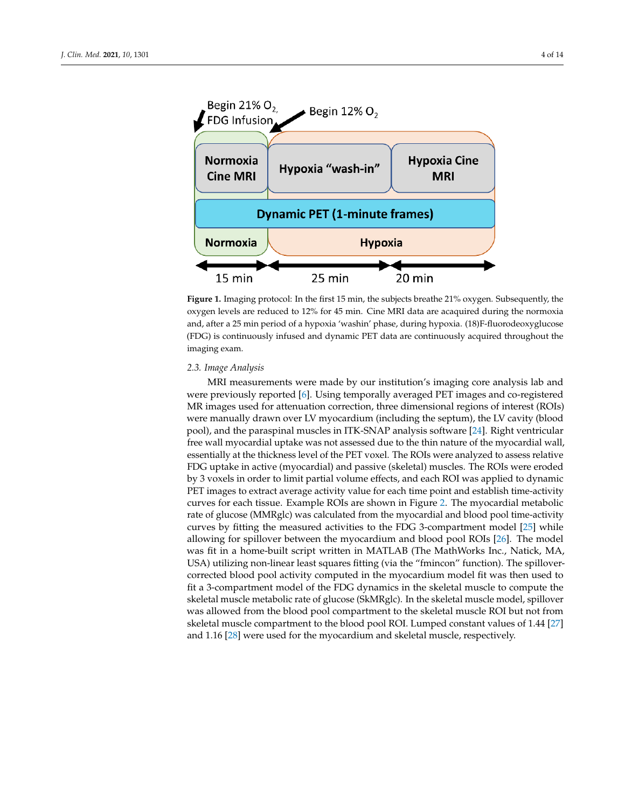

**Figure 1.** Imaging protocol: In the first 15 min, the subjects breathe 21% oxygen. Subsequently, the oxygen levels are reduced to 12% for 45 min. Cine MRI data are acaquired during the normoxia and, after a 25 min period of a hypoxia 'washin' phase, during hypoxia. (18)F-fluorodeoxyglucose (FDG) is continuously infused and dynamic PET data are continuously acquired throughout the imaging exam.

#### *2.3. Image Analysis*

MRI measurements were made by our institution's imaging core analysis lab and were previously reported [6]. Using temporally averaged PET images and co-registered MR images used for attenuation correction, three dimensional regions of interest (ROIs) were manually drawn over LV myocardium (including the septum), the LV cavity (blood pool), and the paraspinal muscles in ITK-SNAP analysis software [24]. Right ventricular free wall myocardial uptake was not assessed due to the thin nature of the myocardial wall, essentially at the thickness level of the PET voxel. The ROIs were analyzed to assess relative FDG uptake in active (myocardial) and passive (skeletal) muscles. The ROIs were eroded by 3 voxels in order to limit partial volume effects, and each ROI was applied to dynamic PET images to extract average activity value for each time point and establish time-activity curves for each tissue. Example ROIs are shown in Figure 2. The myocardial metabolic rate of glucose (MMRglc) was calculated from the myocardial and blood pool time-activity curves by fitting the measured activities to the FDG 3-compartment model [25] while allowing for spillover between the myocardium and blood pool ROIs [26]. The model was fit in a home-built script written in MATLAB (The MathWorks Inc., Natick, MA, USA) utilizing non-linear least squares fitting (via the "fmincon" function). The spillovercorrected blood pool activity computed in the myocardium model fit was then used to fit a 3-compartment model of the FDG dynamics in the skeletal muscle to compute the skeletal muscle metabolic rate of glucose (SkMRglc). In the skeletal muscle model, spillover was allowed from the blood pool compartment to the skeletal muscle ROI but not from skeletal muscle compartment to the blood pool ROI. Lumped constant values of 1.44 [27] and 1.16 [28] were used for the myocardium and skeletal muscle, respectively.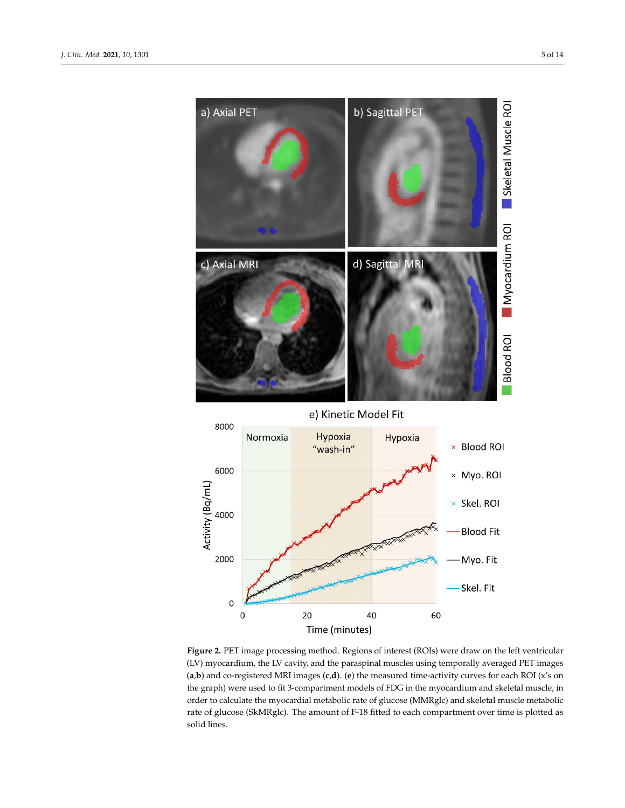

**Figure 2.** PET image processing method. Regions of interest (ROIs) were draw on the left ventricular (LV) myocardium, the LV cavity, and the paraspinal muscles using temporally averaged PET images (**a**,**b**) and co-registered MRI images (**c**,**d**). (**e**) the measured time-activity curves for each ROI (x's on the graph) were used to fit 3-compartment models of FDG in the myocardium and skeletal muscle, in order to calculate the myocardial metabolic rate of glucose (MMRglc) and skeletal muscle metabolic rate of glucose (SkMRglc). The amount of F-18 fitted to each compartment over time is plotted as solid lines.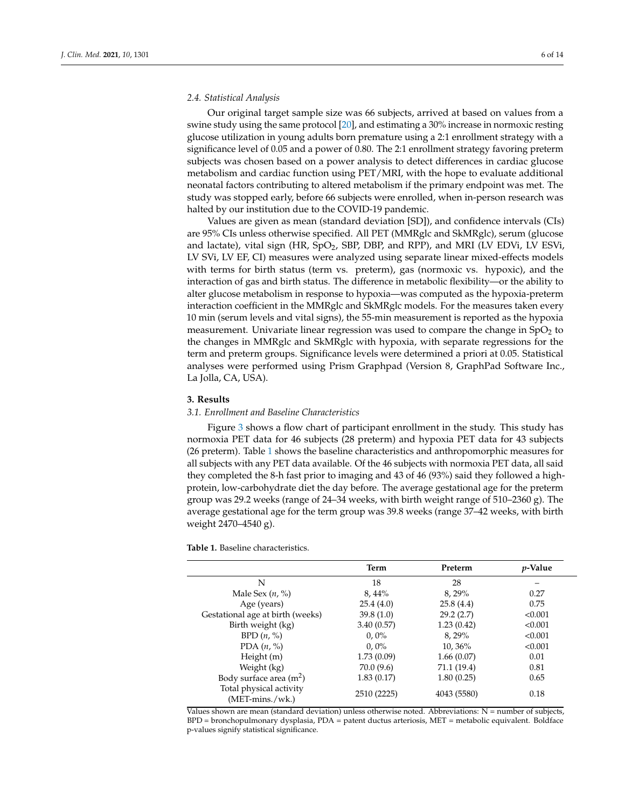### *2.4. Statistical Analysis*

Our original target sample size was 66 subjects, arrived at based on values from a swine study using the same protocol [20], and estimating a 30% increase in normoxic resting glucose utilization in young adults born premature using a 2:1 enrollment strategy with a significance level of 0.05 and a power of 0.80. The 2:1 enrollment strategy favoring preterm subjects was chosen based on a power analysis to detect differences in cardiac glucose metabolism and cardiac function using PET/MRI, with the hope to evaluate additional neonatal factors contributing to altered metabolism if the primary endpoint was met. The study was stopped early, before 66 subjects were enrolled, when in-person research was halted by our institution due to the COVID-19 pandemic.

Values are given as mean (standard deviation [SD]), and confidence intervals (CIs) are 95% CIs unless otherwise specified. All PET (MMRglc and SkMRglc), serum (glucose and lactate), vital sign (HR, SpO<sub>2</sub>, SBP, DBP, and RPP), and MRI (LV EDVi, LV ESVi, LV SVi, LV EF, CI) measures were analyzed using separate linear mixed-effects models with terms for birth status (term vs. preterm), gas (normoxic vs. hypoxic), and the interaction of gas and birth status. The difference in metabolic flexibility—or the ability to alter glucose metabolism in response to hypoxia—was computed as the hypoxia-preterm interaction coefficient in the MMRglc and SkMRglc models. For the measures taken every 10 min (serum levels and vital signs), the 55-min measurement is reported as the hypoxia measurement. Univariate linear regression was used to compare the change in  $SpO<sub>2</sub>$  to the changes in MMRglc and SkMRglc with hypoxia, with separate regressions for the term and preterm groups. Significance levels were determined a priori at 0.05. Statistical analyses were performed using Prism Graphpad (Version 8, GraphPad Software Inc., La Jolla, CA, USA).

#### **3. Results**

#### *3.1. Enrollment and Baseline Characteristics*

Figure 3 shows a flow chart of participant enrollment in the study. This study has normoxia PET data for 46 subjects (28 preterm) and hypoxia PET data for 43 subjects (26 preterm). Table 1 shows the baseline characteristics and anthropomorphic measures for all subjects with any PET data available. Of the 46 subjects with normoxia PET data, all said they completed the 8-h fast prior to imaging and 43 of 46 (93%) said they followed a highprotein, low-carbohydrate diet the day before. The average gestational age for the preterm group was 29.2 weeks (range of 24–34 weeks, with birth weight range of 510–2360 g). The average gestational age for the term group was 39.8 weeks (range 37–42 weeks, with birth weight 2470–4540 g).

**Table 1.** Baseline characteristics.

|                                                     | Term        | Preterm     | <i>p</i> -Value |
|-----------------------------------------------------|-------------|-------------|-----------------|
| N                                                   | 18          | 28          |                 |
| Male Sex $(n, %)$                                   | $8,44\%$    | 8,29%       | 0.27            |
| Age (years)                                         | 25.4(4.0)   | 25.8(4.4)   | 0.75            |
| Gestational age at birth (weeks)                    | 39.8(1.0)   | 29.2(2.7)   | < 0.001         |
| Birth weight (kg)                                   | 3.40(0.57)  | 1.23(0.42)  | < 0.001         |
| BPD $(n, \%)$                                       | $0,0\%$     | 8.29%       | < 0.001         |
| PDA $(n, %)$                                        | $0.0\%$     | 10,36%      | < 0.001         |
| Height $(m)$                                        | 1.73(0.09)  | 1.66(0.07)  | 0.01            |
| Weight (kg)                                         | 70.0 (9.6)  | 71.1 (19.4) | 0.81            |
| Body surface area $(m^2)$                           | 1.83(0.17)  | 1.80(0.25)  | 0.65            |
| Total physical activity<br>$(MET\text{-}mins./wk.)$ | 2510 (2225) | 4043 (5580) | 0.18            |

Values shown are mean (standard deviation) unless otherwise noted. Abbreviations: N = number of subjects, BPD = bronchopulmonary dysplasia, PDA = patent ductus arteriosis, MET = metabolic equivalent. Boldface p-values signify statistical significance.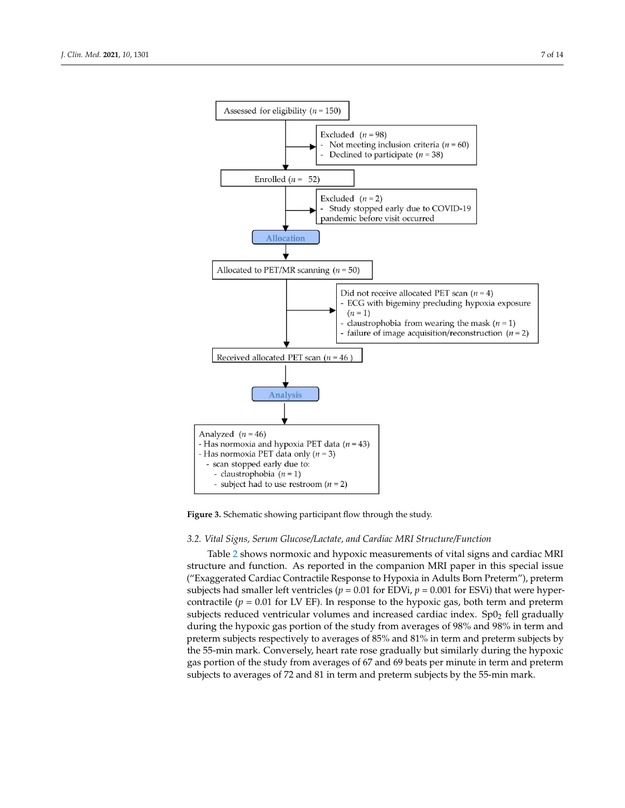

**Figure 3.** Schematic showing participant flow through the study.

#### *3.2. Vital Signs, Serum Glucose/Lactate, and Cardiac MRI Structure/Function*

Table 2 shows normoxic and hypoxic measurements of vital signs and cardiac MRI structure and function. As reported in the companion MRI paper in this special issue ("Exaggerated Cardiac Contractile Response to Hypoxia in Adults Born Preterm"), preterm subjects had smaller left ventricles ( $p = 0.01$  for EDVi,  $p = 0.001$  for ESVi) that were hypercontractile ( $p = 0.01$  for LV EF). In response to the hypoxic gas, both term and preterm subjects reduced ventricular volumes and increased cardiac index.  $Sp0<sub>2</sub>$  fell gradually during the hypoxic gas portion of the study from averages of 98% and 98% in term and preterm subjects respectively to averages of 85% and 81% in term and preterm subjects by the 55-min mark. Conversely, heart rate rose gradually but similarly during the hypoxic gas portion of the study from averages of 67 and 69 beats per minute in term and preterm subjects to averages of 72 and 81 in term and preterm subjects by the 55-min mark.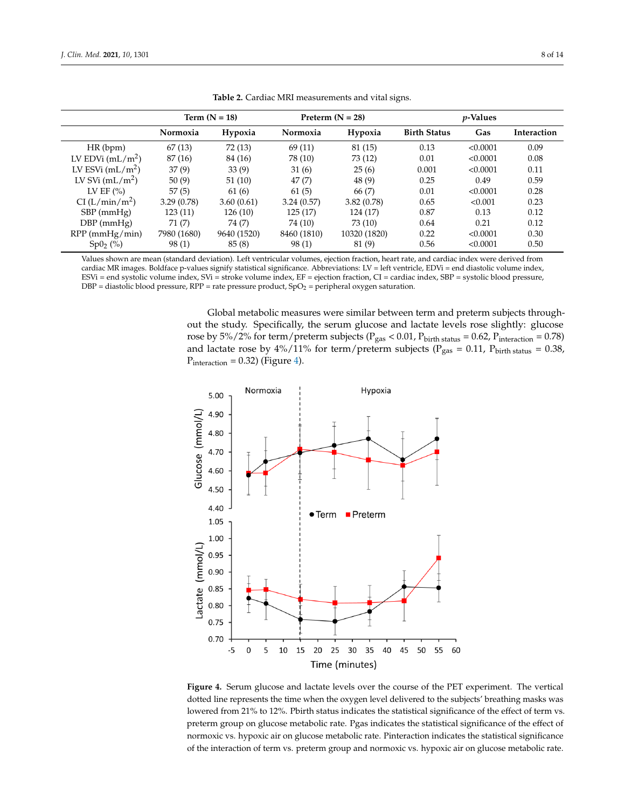|                           | Term $(N = 18)$ |             | Preterm $(N = 28)$ |              | $p$ -Values         |          |             |
|---------------------------|-----------------|-------------|--------------------|--------------|---------------------|----------|-------------|
|                           | Normoxia        | Hypoxia     | Normoxia           | Hypoxia      | <b>Birth Status</b> | Gas      | Interaction |
| HR(bpm)                   | 67(13)          | 72(13)      | 69(11)             | 81 (15)      | 0.13                | < 0.0001 | 0.09        |
| LV EDVi $(mL/m^2)$        | 87(16)          | 84 (16)     | 78 (10)            | 73 (12)      | 0.01                | < 0.0001 | 0.08        |
| LV ESVi $(mL/m^2)$        | 37(9)           | 33(9)       | 31(6)              | 25(6)        | 0.001               | < 0.0001 | 0.11        |
| LV SVi $(mL/m^2)$         | 50(9)           | 51(10)      | 47(7)              | 48(9)        | 0.25                | 0.49     | 0.59        |
| LV EF $(\% )$             | 57(5)           | 61 (6)      | 61(5)              | 66 (7)       | 0.01                | < 0.0001 | 0.28        |
| CI(L/min/m <sup>2</sup> ) | 3.29(0.78)      | 3.60(0.61)  | 3.24(0.57)         | 3.82(0.78)   | 0.65                | < 0.001  | 0.23        |
| $SBP$ (mmHg)              | 123(11)         | 126(10)     | 125(17)            | 124 (17)     | 0.87                | 0.13     | 0.12        |
| $DBP$ (mmHg)              | 71(7)           | 74 (7)      | 74 (10)            | 73 (10)      | 0.64                | 0.21     | 0.12        |
| $RPP$ (mmHg/min)          | 7980 (1680)     | 9640 (1520) | 8460 (1810)        | 10320 (1820) | 0.22                | < 0.0001 | 0.30        |
| $Sp0_{2}$ (%)             | 98(1)           | 85(8)       | 98(1)              | 81(9)        | 0.56                | < 0.0001 | 0.50        |

**Table 2.** Cardiac MRI measurements and vital signs.

Values shown are mean (standard deviation). Left ventricular volumes, ejection fraction, heart rate, and cardiac index were derived from cardiac MR images. Boldface p-values signify statistical significance. Abbreviations: LV = left ventricle, EDVi = end diastolic volume index, ESVi = end systolic volume index, SVi = stroke volume index, EF = ejection fraction, CI = cardiac index, SBP = systolic blood pressure,  $DBP =$  diastolic blood pressure,  $RPP =$  rate pressure product,  $SpO<sub>2</sub> =$  peripheral oxygen saturation.

> Global metabolic measures were similar between term and preterm subjects throughout the study. Specifically, the serum glucose and lactate levels rose slightly: glucose rose by 5%/2% for term/preterm subjects ( $P_{gas}$  < 0.01,  $P_{birth\, status}$  = 0.62,  $P_{interaction}$  = 0.78) and lactate rose by 4%/11% for term/preterm subjects ( $P_{gas}$  = 0.11,  $P_{birth\, status}$  = 0.38,  $P_{interaction} = 0.32$ ) (Figure 4).



**Figure 4.** Serum glucose and lactate levels over the course of the PET experiment. The vertical dotted line represents the time when the oxygen level delivered to the subjects' breathing masks was lowered from 21% to 12%. Pbirth status indicates the statistical significance of the effect of term vs. preterm group on glucose metabolic rate. Pgas indicates the statistical significance of the effect of normoxic vs. hypoxic air on glucose metabolic rate. Pinteraction indicates the statistical significance of the interaction of term vs. preterm group and normoxic vs. hypoxic air on glucose metabolic rate.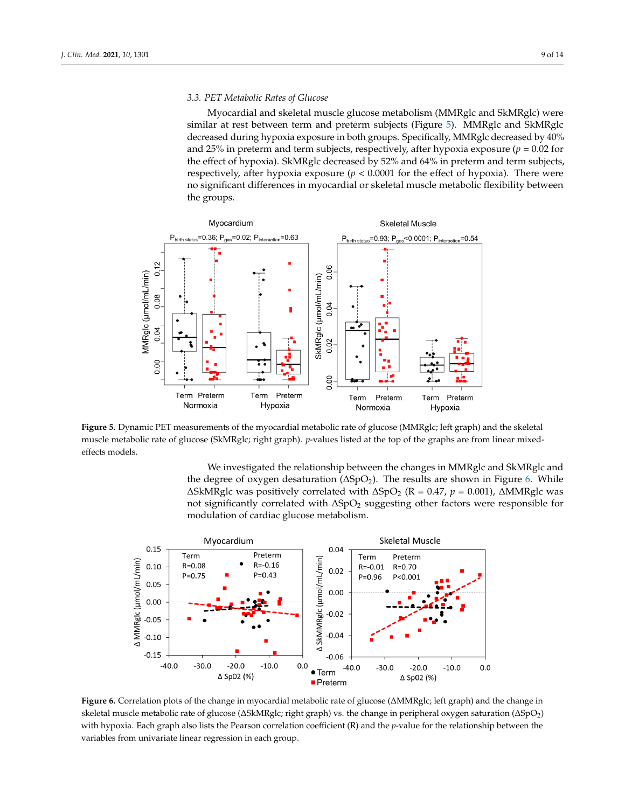#### *3.3. PET Metabolic Rates of Glucose*

Myocardial and skeletal muscle glucose metabolism (MMRglc and SkMRglc) were similar at rest between term and preterm subjects (Figure 5). MMRglc and SkMRglc decreased during hypoxia exposure in both groups. Specifically, MMRglc decreased by 40% and 25% in preterm and term subjects, respectively, after hypoxia exposure  $(p = 0.02$  for the effect of hypoxia). SkMRglc decreased by 52% and 64% in preterm and term subjects, respectively, after hypoxia exposure  $(p < 0.0001$  for the effect of hypoxia). There were no significant differences in myocardial or skeletal muscle metabolic flexibility between the groups.



**Figure 5.** Dynamic PET measurements of the myocardial metabolic rate of glucose (MMRglc; left graph) and the skeletal muscle metabolic rate of glucose (SkMRglc; right graph). *p*-values listed at the top of the graphs are from linear mixedeffects models.

We investigated the relationship between the changes in MMRglc and SkMRglc and the degree of oxygen desaturation ( $\Delta SpO<sub>2</sub>$ ). The results are shown in Figure 6. While  $\triangle$ SkMRglc was positively correlated with  $\triangle$ SpO<sub>2</sub> (R = 0.47, *p* = 0.001),  $\triangle$ MMRglc was not significantly correlated with  $\Delta SpO<sub>2</sub>$  suggesting other factors were responsible for modulation of cardiac glucose metabolism.



Figure 6. Correlation plots of the change in myocardial metabolic rate of glucose ( $\triangle$ MMRglc; left graph) and the change in skeletal muscle metabolic rate of glucose ( $\Delta$ SkMRglc; right graph) vs. the change in peripheral oxygen saturation ( $\Delta$ SpO<sub>2</sub>) with hypoxia. Each graph also lists the Pearson correlation coefficient (R) and the *p*-value for the relationship between the variables from univariate linear regression in each group.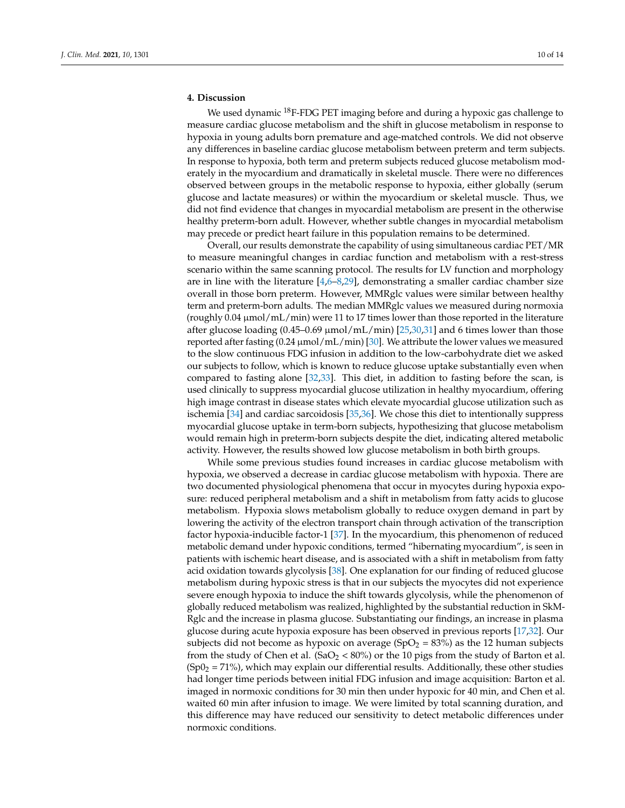## **4. Discussion**

We used dynamic <sup>18</sup>F-FDG PET imaging before and during a hypoxic gas challenge to measure cardiac glucose metabolism and the shift in glucose metabolism in response to hypoxia in young adults born premature and age-matched controls. We did not observe any differences in baseline cardiac glucose metabolism between preterm and term subjects. In response to hypoxia, both term and preterm subjects reduced glucose metabolism moderately in the myocardium and dramatically in skeletal muscle. There were no differences observed between groups in the metabolic response to hypoxia, either globally (serum glucose and lactate measures) or within the myocardium or skeletal muscle. Thus, we did not find evidence that changes in myocardial metabolism are present in the otherwise healthy preterm-born adult. However, whether subtle changes in myocardial metabolism may precede or predict heart failure in this population remains to be determined.

Overall, our results demonstrate the capability of using simultaneous cardiac PET/MR to measure meaningful changes in cardiac function and metabolism with a rest-stress scenario within the same scanning protocol. The results for LV function and morphology are in line with the literature  $[4,6-8,29]$ , demonstrating a smaller cardiac chamber size overall in those born preterm. However, MMRglc values were similar between healthy term and preterm-born adults. The median MMRglc values we measured during normoxia (roughly 0.04 µmol/mL/min) were 11 to 17 times lower than those reported in the literature after glucose loading (0.45–0.69 µmol/mL/min) [25,30,31] and 6 times lower than those reported after fasting  $(0.24 \mu \text{mol/mL/min})$  [30]. We attribute the lower values we measured to the slow continuous FDG infusion in addition to the low-carbohydrate diet we asked our subjects to follow, which is known to reduce glucose uptake substantially even when compared to fasting alone [32,33]. This diet, in addition to fasting before the scan, is used clinically to suppress myocardial glucose utilization in healthy myocardium, offering high image contrast in disease states which elevate myocardial glucose utilization such as ischemia [34] and cardiac sarcoidosis [35,36]. We chose this diet to intentionally suppress myocardial glucose uptake in term-born subjects, hypothesizing that glucose metabolism would remain high in preterm-born subjects despite the diet, indicating altered metabolic activity. However, the results showed low glucose metabolism in both birth groups.

While some previous studies found increases in cardiac glucose metabolism with hypoxia, we observed a decrease in cardiac glucose metabolism with hypoxia. There are two documented physiological phenomena that occur in myocytes during hypoxia exposure: reduced peripheral metabolism and a shift in metabolism from fatty acids to glucose metabolism. Hypoxia slows metabolism globally to reduce oxygen demand in part by lowering the activity of the electron transport chain through activation of the transcription factor hypoxia-inducible factor-1 [37]. In the myocardium, this phenomenon of reduced metabolic demand under hypoxic conditions, termed "hibernating myocardium", is seen in patients with ischemic heart disease, and is associated with a shift in metabolism from fatty acid oxidation towards glycolysis [38]. One explanation for our finding of reduced glucose metabolism during hypoxic stress is that in our subjects the myocytes did not experience severe enough hypoxia to induce the shift towards glycolysis, while the phenomenon of globally reduced metabolism was realized, highlighted by the substantial reduction in SkM-Rglc and the increase in plasma glucose. Substantiating our findings, an increase in plasma glucose during acute hypoxia exposure has been observed in previous reports [17,32]. Our subjects did not become as hypoxic on average ( $SpO<sub>2</sub> = 83%$ ) as the 12 human subjects from the study of Chen et al.  $(SaO<sub>2</sub> < 80%)$  or the 10 pigs from the study of Barton et al.  $(Sp0<sub>2</sub> = 71%)$ , which may explain our differential results. Additionally, these other studies had longer time periods between initial FDG infusion and image acquisition: Barton et al. imaged in normoxic conditions for 30 min then under hypoxic for 40 min, and Chen et al. waited 60 min after infusion to image. We were limited by total scanning duration, and this difference may have reduced our sensitivity to detect metabolic differences under normoxic conditions.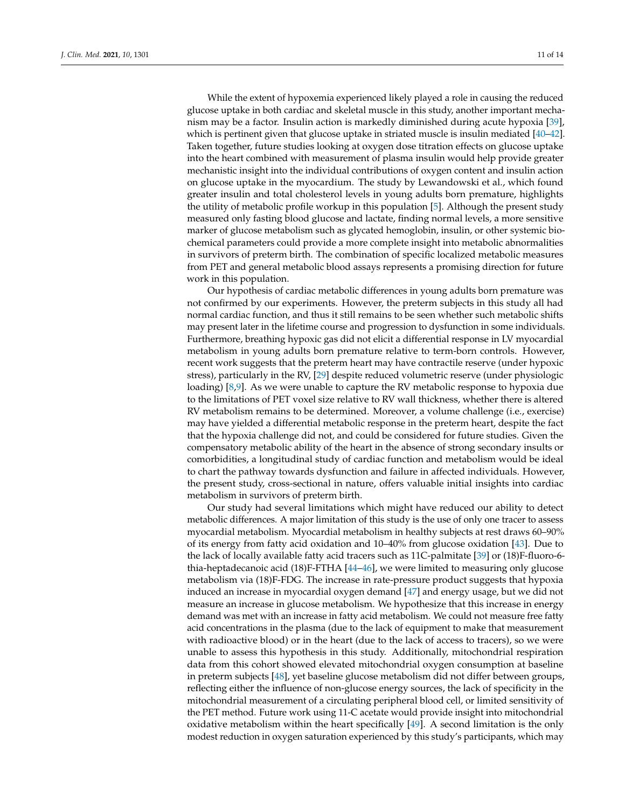While the extent of hypoxemia experienced likely played a role in causing the reduced glucose uptake in both cardiac and skeletal muscle in this study, another important mechanism may be a factor. Insulin action is markedly diminished during acute hypoxia [39], which is pertinent given that glucose uptake in striated muscle is insulin mediated [40–42]. Taken together, future studies looking at oxygen dose titration effects on glucose uptake into the heart combined with measurement of plasma insulin would help provide greater mechanistic insight into the individual contributions of oxygen content and insulin action on glucose uptake in the myocardium. The study by Lewandowski et al., which found greater insulin and total cholesterol levels in young adults born premature, highlights the utility of metabolic profile workup in this population [5]. Although the present study measured only fasting blood glucose and lactate, finding normal levels, a more sensitive marker of glucose metabolism such as glycated hemoglobin, insulin, or other systemic biochemical parameters could provide a more complete insight into metabolic abnormalities in survivors of preterm birth. The combination of specific localized metabolic measures from PET and general metabolic blood assays represents a promising direction for future work in this population.

Our hypothesis of cardiac metabolic differences in young adults born premature was not confirmed by our experiments. However, the preterm subjects in this study all had normal cardiac function, and thus it still remains to be seen whether such metabolic shifts may present later in the lifetime course and progression to dysfunction in some individuals. Furthermore, breathing hypoxic gas did not elicit a differential response in LV myocardial metabolism in young adults born premature relative to term-born controls. However, recent work suggests that the preterm heart may have contractile reserve (under hypoxic stress), particularly in the RV, [29] despite reduced volumetric reserve (under physiologic loading) [8,9]. As we were unable to capture the RV metabolic response to hypoxia due to the limitations of PET voxel size relative to RV wall thickness, whether there is altered RV metabolism remains to be determined. Moreover, a volume challenge (i.e., exercise) may have yielded a differential metabolic response in the preterm heart, despite the fact that the hypoxia challenge did not, and could be considered for future studies. Given the compensatory metabolic ability of the heart in the absence of strong secondary insults or comorbidities, a longitudinal study of cardiac function and metabolism would be ideal to chart the pathway towards dysfunction and failure in affected individuals. However, the present study, cross-sectional in nature, offers valuable initial insights into cardiac metabolism in survivors of preterm birth.

Our study had several limitations which might have reduced our ability to detect metabolic differences. A major limitation of this study is the use of only one tracer to assess myocardial metabolism. Myocardial metabolism in healthy subjects at rest draws 60–90% of its energy from fatty acid oxidation and 10–40% from glucose oxidation [43]. Due to the lack of locally available fatty acid tracers such as 11C-palmitate [39] or (18)F-fluoro-6 thia-heptadecanoic acid (18)F-FTHA [44–46], we were limited to measuring only glucose metabolism via (18)F-FDG. The increase in rate-pressure product suggests that hypoxia induced an increase in myocardial oxygen demand [47] and energy usage, but we did not measure an increase in glucose metabolism. We hypothesize that this increase in energy demand was met with an increase in fatty acid metabolism. We could not measure free fatty acid concentrations in the plasma (due to the lack of equipment to make that measurement with radioactive blood) or in the heart (due to the lack of access to tracers), so we were unable to assess this hypothesis in this study. Additionally, mitochondrial respiration data from this cohort showed elevated mitochondrial oxygen consumption at baseline in preterm subjects [48], yet baseline glucose metabolism did not differ between groups, reflecting either the influence of non-glucose energy sources, the lack of specificity in the mitochondrial measurement of a circulating peripheral blood cell, or limited sensitivity of the PET method. Future work using 11-C acetate would provide insight into mitochondrial oxidative metabolism within the heart specifically [49]. A second limitation is the only modest reduction in oxygen saturation experienced by this study's participants, which may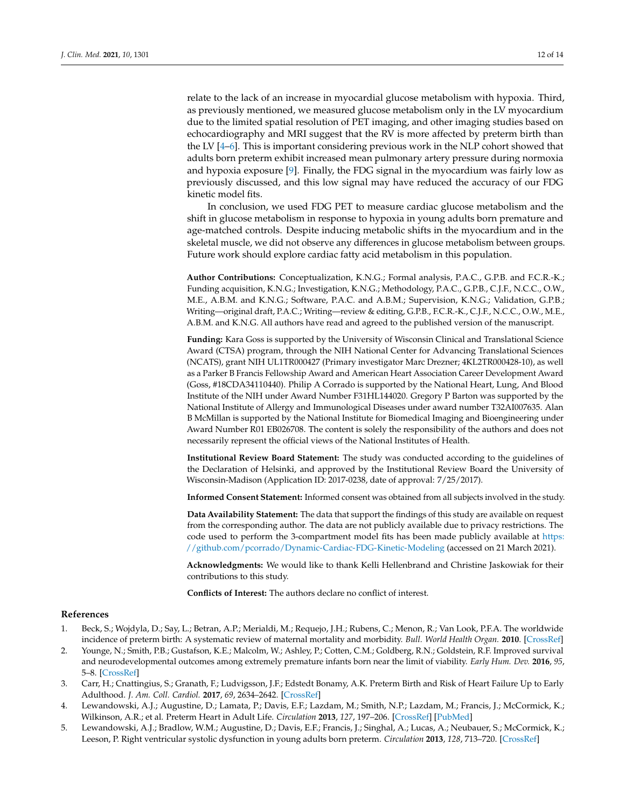relate to the lack of an increase in myocardial glucose metabolism with hypoxia. Third, as previously mentioned, we measured glucose metabolism only in the LV myocardium due to the limited spatial resolution of PET imaging, and other imaging studies based on echocardiography and MRI suggest that the RV is more affected by preterm birth than the LV [4–6]. This is important considering previous work in the NLP cohort showed that adults born preterm exhibit increased mean pulmonary artery pressure during normoxia and hypoxia exposure [9]. Finally, the FDG signal in the myocardium was fairly low as previously discussed, and this low signal may have reduced the accuracy of our FDG kinetic model fits.

In conclusion, we used FDG PET to measure cardiac glucose metabolism and the shift in glucose metabolism in response to hypoxia in young adults born premature and age-matched controls. Despite inducing metabolic shifts in the myocardium and in the skeletal muscle, we did not observe any differences in glucose metabolism between groups. Future work should explore cardiac fatty acid metabolism in this population.

**Author Contributions:** Conceptualization, K.N.G.; Formal analysis, P.A.C., G.P.B. and F.C.R.-K.; Funding acquisition, K.N.G.; Investigation, K.N.G.; Methodology, P.A.C., G.P.B., C.J.F., N.C.C., O.W., M.E., A.B.M. and K.N.G.; Software, P.A.C. and A.B.M.; Supervision, K.N.G.; Validation, G.P.B.; Writing—original draft, P.A.C.; Writing—review & editing, G.P.B., F.C.R.-K., C.J.F., N.C.C., O.W., M.E., A.B.M. and K.N.G. All authors have read and agreed to the published version of the manuscript.

**Funding:** Kara Goss is supported by the University of Wisconsin Clinical and Translational Science Award (CTSA) program, through the NIH National Center for Advancing Translational Sciences (NCATS), grant NIH UL1TR000427 (Primary investigator Marc Drezner; 4KL2TR000428-10), as well as a Parker B Francis Fellowship Award and American Heart Association Career Development Award (Goss, #18CDA34110440). Philip A Corrado is supported by the National Heart, Lung, And Blood Institute of the NIH under Award Number F31HL144020. Gregory P Barton was supported by the National Institute of Allergy and Immunological Diseases under award number T32AI007635. Alan B McMillan is supported by the National Institute for Biomedical Imaging and Bioengineering under Award Number R01 EB026708. The content is solely the responsibility of the authors and does not necessarily represent the official views of the National Institutes of Health.

**Institutional Review Board Statement:** The study was conducted according to the guidelines of the Declaration of Helsinki, and approved by the Institutional Review Board the University of Wisconsin-Madison (Application ID: 2017-0238, date of approval: 7/25/2017).

**Informed Consent Statement:** Informed consent was obtained from all subjects involved in the study.

**Data Availability Statement:** The data that support the findings of this study are available on request from the corresponding author. The data are not publicly available due to privacy restrictions. The code used to perform the 3-compartment model fits has been made publicly available at https: //github.com/pcorrado/Dynamic-Cardiac-FDG-Kinetic-Modeling (accessed on 21 March 2021).

**Acknowledgments:** We would like to thank Kelli Hellenbrand and Christine Jaskowiak for their contributions to this study.

**Conflicts of Interest:** The authors declare no conflict of interest.

#### **References**

- 1. Beck, S.; Wojdyla, D.; Say, L.; Betran, A.P.; Merialdi, M.; Requejo, J.H.; Rubens, C.; Menon, R.; Van Look, P.F.A. The worldwide incidence of preterm birth: A systematic review of maternal mortality and morbidity. *Bull. World Health Organ.* **2010**. [CrossRef]
- 2. Younge, N.; Smith, P.B.; Gustafson, K.E.; Malcolm, W.; Ashley, P.; Cotten, C.M.; Goldberg, R.N.; Goldstein, R.F. Improved survival and neurodevelopmental outcomes among extremely premature infants born near the limit of viability. *Early Hum. Dev.* **2016**, *95*, 5–8. [CrossRef]
- 3. Carr, H.; Cnattingius, S.; Granath, F.; Ludvigsson, J.F.; Edstedt Bonamy, A.K. Preterm Birth and Risk of Heart Failure Up to Early Adulthood. *J. Am. Coll. Cardiol.* **2017**, *69*, 2634–2642. [CrossRef]
- 4. Lewandowski, A.J.; Augustine, D.; Lamata, P.; Davis, E.F.; Lazdam, M.; Smith, N.P.; Lazdam, M.; Francis, J.; McCormick, K.; Wilkinson, A.R.; et al. Preterm Heart in Adult Life. *Circulation* **2013**, *127*, 197–206. [CrossRef] [PubMed]
- 5. Lewandowski, A.J.; Bradlow, W.M.; Augustine, D.; Davis, E.F.; Francis, J.; Singhal, A.; Lucas, A.; Neubauer, S.; McCormick, K.; Leeson, P. Right ventricular systolic dysfunction in young adults born preterm. *Circulation* **2013**, *128*, 713–720. [CrossRef]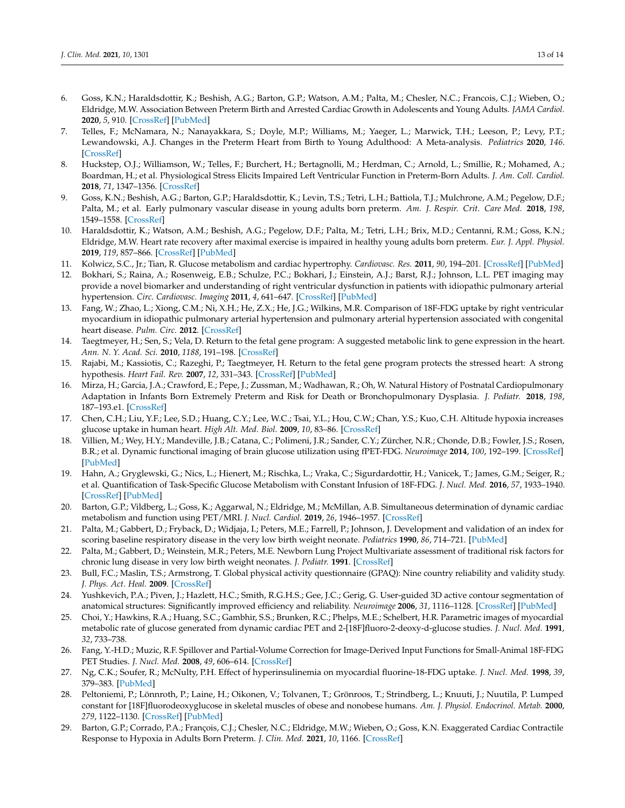- 6. Goss, K.N.; Haraldsdottir, K.; Beshish, A.G.; Barton, G.P.; Watson, A.M.; Palta, M.; Chesler, N.C.; Francois, C.J.; Wieben, O.; Eldridge, M.W. Association Between Preterm Birth and Arrested Cardiac Growth in Adolescents and Young Adults. *JAMA Cardiol.* **2020**, *5*, 910. [CrossRef] [PubMed]
- 7. Telles, F.; McNamara, N.; Nanayakkara, S.; Doyle, M.P.; Williams, M.; Yaeger, L.; Marwick, T.H.; Leeson, P.; Levy, P.T.; Lewandowski, A.J. Changes in the Preterm Heart from Birth to Young Adulthood: A Meta-analysis. *Pediatrics* **2020**, *146*. [CrossRef]
- 8. Huckstep, O.J.; Williamson, W.; Telles, F.; Burchert, H.; Bertagnolli, M.; Herdman, C.; Arnold, L.; Smillie, R.; Mohamed, A.; Boardman, H.; et al. Physiological Stress Elicits Impaired Left Ventricular Function in Preterm-Born Adults. *J. Am. Coll. Cardiol.* **2018**, *71*, 1347–1356. [CrossRef]
- 9. Goss, K.N.; Beshish, A.G.; Barton, G.P.; Haraldsdottir, K.; Levin, T.S.; Tetri, L.H.; Battiola, T.J.; Mulchrone, A.M.; Pegelow, D.F.; Palta, M.; et al. Early pulmonary vascular disease in young adults born preterm. *Am. J. Respir. Crit. Care Med.* **2018**, *198*, 1549–1558. [CrossRef]
- 10. Haraldsdottir, K.; Watson, A.M.; Beshish, A.G.; Pegelow, D.F.; Palta, M.; Tetri, L.H.; Brix, M.D.; Centanni, R.M.; Goss, K.N.; Eldridge, M.W. Heart rate recovery after maximal exercise is impaired in healthy young adults born preterm. *Eur. J. Appl. Physiol.* **2019**, *119*, 857–866. [CrossRef] [PubMed]
- 11. Kolwicz, S.C., Jr.; Tian, R. Glucose metabolism and cardiac hypertrophy. *Cardiovasc. Res.* **2011**, *90*, 194–201. [CrossRef] [PubMed]
- 12. Bokhari, S.; Raina, A.; Rosenweig, E.B.; Schulze, P.C.; Bokhari, J.; Einstein, A.J.; Barst, R.J.; Johnson, L.L. PET imaging may provide a novel biomarker and understanding of right ventricular dysfunction in patients with idiopathic pulmonary arterial hypertension. *Circ. Cardiovasc. Imaging* **2011**, *4*, 641–647. [CrossRef] [PubMed]
- 13. Fang, W.; Zhao, L.; Xiong, C.M.; Ni, X.H.; He, Z.X.; He, J.G.; Wilkins, M.R. Comparison of 18F-FDG uptake by right ventricular myocardium in idiopathic pulmonary arterial hypertension and pulmonary arterial hypertension associated with congenital heart disease. *Pulm. Circ.* **2012**. [CrossRef]
- 14. Taegtmeyer, H.; Sen, S.; Vela, D. Return to the fetal gene program: A suggested metabolic link to gene expression in the heart. *Ann. N. Y. Acad. Sci.* **2010**, *1188*, 191–198. [CrossRef]
- 15. Rajabi, M.; Kassiotis, C.; Razeghi, P.; Taegtmeyer, H. Return to the fetal gene program protects the stressed heart: A strong hypothesis. *Heart Fail. Rev.* **2007**, *12*, 331–343. [CrossRef] [PubMed]
- 16. Mirza, H.; Garcia, J.A.; Crawford, E.; Pepe, J.; Zussman, M.; Wadhawan, R.; Oh, W. Natural History of Postnatal Cardiopulmonary Adaptation in Infants Born Extremely Preterm and Risk for Death or Bronchopulmonary Dysplasia. *J. Pediatr.* **2018**, *198*, 187–193.e1. [CrossRef]
- 17. Chen, C.H.; Liu, Y.F.; Lee, S.D.; Huang, C.Y.; Lee, W.C.; Tsai, Y.L.; Hou, C.W.; Chan, Y.S.; Kuo, C.H. Altitude hypoxia increases glucose uptake in human heart. *High Alt. Med. Biol.* **2009**, *10*, 83–86. [CrossRef]
- 18. Villien, M.; Wey, H.Y.; Mandeville, J.B.; Catana, C.; Polimeni, J.R.; Sander, C.Y.; Zürcher, N.R.; Chonde, D.B.; Fowler, J.S.; Rosen, B.R.; et al. Dynamic functional imaging of brain glucose utilization using fPET-FDG. *Neuroimage* **2014**, *100*, 192–199. [CrossRef] [PubMed]
- 19. Hahn, A.; Gryglewski, G.; Nics, L.; Hienert, M.; Rischka, L.; Vraka, C.; Sigurdardottir, H.; Vanicek, T.; James, G.M.; Seiger, R.; et al. Quantification of Task-Specific Glucose Metabolism with Constant Infusion of 18F-FDG. *J. Nucl. Med.* **2016**, *57*, 1933–1940. [CrossRef] [PubMed]
- 20. Barton, G.P.; Vildberg, L.; Goss, K.; Aggarwal, N.; Eldridge, M.; McMillan, A.B. Simultaneous determination of dynamic cardiac metabolism and function using PET/MRI. *J. Nucl. Cardiol.* **2019**, *26*, 1946–1957. [CrossRef]
- 21. Palta, M.; Gabbert, D.; Fryback, D.; Widjaja, I.; Peters, M.E.; Farrell, P.; Johnson, J. Development and validation of an index for scoring baseline respiratory disease in the very low birth weight neonate. *Pediatrics* **1990**, *86*, 714–721. [PubMed]
- 22. Palta, M.; Gabbert, D.; Weinstein, M.R.; Peters, M.E. Newborn Lung Project Multivariate assessment of traditional risk factors for chronic lung disease in very low birth weight neonates. *J. Pediatr.* **1991**. [CrossRef]
- 23. Bull, F.C.; Maslin, T.S.; Armstrong, T. Global physical activity questionnaire (GPAQ): Nine country reliability and validity study. *J. Phys. Act. Heal.* **2009**. [CrossRef]
- 24. Yushkevich, P.A.; Piven, J.; Hazlett, H.C.; Smith, R.G.H.S.; Gee, J.C.; Gerig, G. User-guided 3D active contour segmentation of anatomical structures: Significantly improved efficiency and reliability. *Neuroimage* **2006**, *31*, 1116–1128. [CrossRef] [PubMed]
- 25. Choi, Y.; Hawkins, R.A.; Huang, S.C.; Gambhir, S.S.; Brunken, R.C.; Phelps, M.E.; Schelbert, H.R. Parametric images of myocardial metabolic rate of glucose generated from dynamic cardiac PET and 2-[18F]fluoro-2-deoxy-d-glucose studies. *J. Nucl. Med.* **1991**, *32*, 733–738.
- 26. Fang, Y.-H.D.; Muzic, R.F. Spillover and Partial-Volume Correction for Image-Derived Input Functions for Small-Animal 18F-FDG PET Studies. *J. Nucl. Med.* **2008**, *49*, 606–614. [CrossRef]
- 27. Ng, C.K.; Soufer, R.; McNulty, P.H. Effect of hyperinsulinemia on myocardial fluorine-18-FDG uptake. *J. Nucl. Med.* **1998**, *39*, 379–383. [PubMed]
- 28. Peltoniemi, P.; Lönnroth, P.; Laine, H.; Oikonen, V.; Tolvanen, T.; Grönroos, T.; Strindberg, L.; Knuuti, J.; Nuutila, P. Lumped constant for [18F]fluorodeoxyglucose in skeletal muscles of obese and nonobese humans. *Am. J. Physiol. Endocrinol. Metab.* **2000**, *279*, 1122–1130. [CrossRef] [PubMed]
- 29. Barton, G.P.; Corrado, P.A.; François, C.J.; Chesler, N.C.; Eldridge, M.W.; Wieben, O.; Goss, K.N. Exaggerated Cardiac Contractile Response to Hypoxia in Adults Born Preterm. *J. Clin. Med.* **2021**, *10*, 1166. [CrossRef]